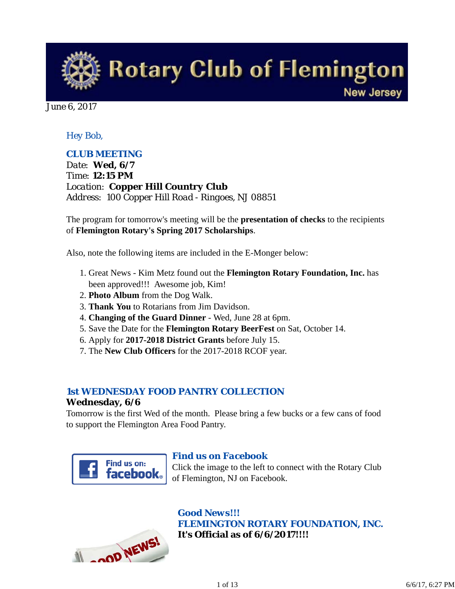**Rotary Club of Flemington New Jersey** 

June 6, 2017

### *Hey Bob,*

### *CLUB MEETING*

*Date: Wed, 6/7 Time: 12:15 PM Location: Copper Hill Country Club Address: 100 Copper Hill Road - Ringoes, NJ 08851*

The program for tomorrow's meeting will be the **presentation of checks** to the recipients of **Flemington Rotary's Spring 2017 Scholarships**.

Also, note the following items are included in the E-Monger below:

- 1. Great News Kim Metz found out the Flemington Rotary Foundation, Inc. has been approved!!! Awesome job, Kim!
- 2. **Photo Album** from the Dog Walk.
- 3. **Thank You** to Rotarians from Jim Davidson.
- 4. **Changing of the Guard Dinner** Wed, June 28 at 6pm.
- 5. Save the Date for the **Flemington Rotary BeerFest** on Sat, October 14.
- 6. Apply for **2017-2018 District Grants** before July 15.
- 7. The **New Club Officers** for the 2017-2018 RCOF year.

### *1st WEDNESDAY FOOD PANTRY COLLECTION*

#### **Wednesday, 6/6**

Tomorrow is the first Wed of the month. Please bring a few bucks or a few cans of food to support the Flemington Area Food Pantry.



#### *Find us on Facebook*

Click the image to the left to connect with the Rotary Club of Flemington, NJ on Facebook.



### *Good News!!! FLEMINGTON ROTARY FOUNDATION, INC.* **It's Official as of 6/6/2017!!!!**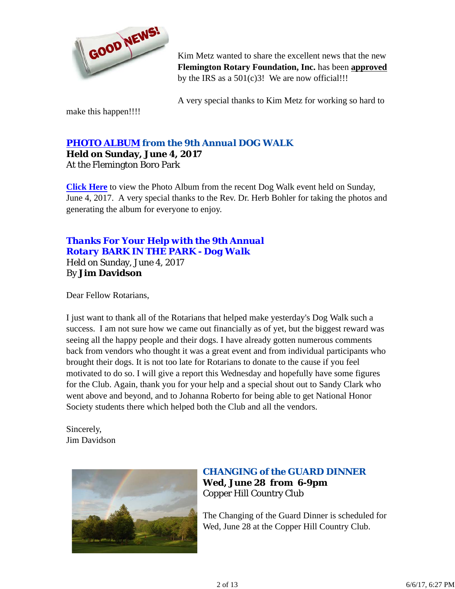

Kim Metz wanted to share the excellent news that the new **Flemington Rotary Foundation, Inc.** has been **approved** by the IRS as a  $501(c)3!$  We are now official!!!

A very special thanks to Kim Metz for working so hard to

make this happen!!!!

### *PHOTO ALBUM from the 9th Annual DOG WALK* **Held on Sunday, June 4, 2017**

At the Flemington Boro Park

**Click Here** to view the Photo Album from the recent Dog Walk event held on Sunday, June 4, 2017. A very special thanks to the Rev. Dr. Herb Bohler for taking the photos and generating the album for everyone to enjoy.

### *Thanks For Your Help with the 9th Annual Rotary BARK IN THE PARK - Dog Walk* Held on Sunday, June 4, 2017 By **Jim Davidson**

Dear Fellow Rotarians,

I just want to thank all of the Rotarians that helped make yesterday's Dog Walk such a success. I am not sure how we came out financially as of yet, but the biggest reward was seeing all the happy people and their dogs. I have already gotten numerous comments back from vendors who thought it was a great event and from individual participants who brought their dogs. It is not too late for Rotarians to donate to the cause if you feel motivated to do so. I will give a report this Wednesday and hopefully have some figures for the Club. Again, thank you for your help and a special shout out to Sandy Clark who went above and beyond, and to Johanna Roberto for being able to get National Honor Society students there which helped both the Club and all the vendors.

Sincerely, Jim Davidson



## *CHANGING of the GUARD DINNER* **Wed, June 28 from 6-9pm** Copper Hill Country Club

The Changing of the Guard Dinner is scheduled for Wed, June 28 at the Copper Hill Country Club.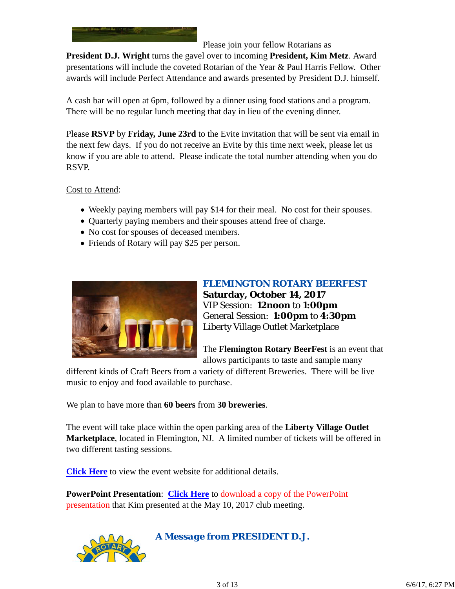

Please join your fellow Rotarians as

**President D.J. Wright** turns the gavel over to incoming **President, Kim Metz**. Award presentations will include the coveted Rotarian of the Year & Paul Harris Fellow. Other awards will include Perfect Attendance and awards presented by President D.J. himself.

A cash bar will open at 6pm, followed by a dinner using food stations and a program. There will be no regular lunch meeting that day in lieu of the evening dinner.

Please **RSVP** by **Friday, June 23rd** to the Evite invitation that will be sent via email in the next few days. If you do not receive an Evite by this time next week, please let us know if you are able to attend. Please indicate the total number attending when you do RSVP.

Cost to Attend:

- Weekly paying members will pay \$14 for their meal. No cost for their spouses.
- Quarterly paying members and their spouses attend free of charge.
- No cost for spouses of deceased members.
- Friends of Rotary will pay \$25 per person.



*FLEMINGTON ROTARY BEERFEST* **Saturday, October 14, 2017** VIP Session: **12noon** to **1:00pm** General Session: **1:00pm** to **4:30pm** Liberty Village Outlet Marketplace

The **Flemington Rotary BeerFest** is an event that allows participants to taste and sample many

different kinds of Craft Beers from a variety of different Breweries. There will be live music to enjoy and food available to purchase.

We plan to have more than **60 beers** from **30 breweries**.

The event will take place within the open parking area of the **Liberty Village Outlet Marketplace**, located in Flemington, NJ. A limited number of tickets will be offered in two different tasting sessions.

**Click Here** to view the event website for additional details.

**PowerPoint Presentation**: **Click Here** to download a copy of the PowerPoint presentation that Kim presented at the May 10, 2017 club meeting.



*A Message from PRESIDENT D.J.*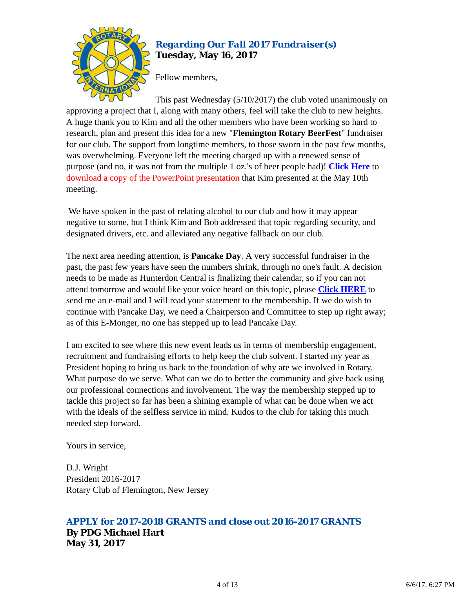

## *Regarding Our Fall 2017 Fundraiser(s)* **Tuesday, May 16, 2017**

Fellow members,

This past Wednesday (5/10/2017) the club voted unanimously on approving a project that I, along with many others, feel will take the club to new heights. A huge thank you to Kim and all the other members who have been working so hard to research, plan and present this idea for a new "**Flemington Rotary BeerFest**" fundraiser for our club. The support from longtime members, to those sworn in the past few months, was overwhelming. Everyone left the meeting charged up with a renewed sense of purpose (and no, it was not from the multiple 1 oz.'s of beer people had)! **Click Here** to download a copy of the PowerPoint presentation that Kim presented at the May 10th meeting.

 We have spoken in the past of relating alcohol to our club and how it may appear negative to some, but I think Kim and Bob addressed that topic regarding security, and designated drivers, etc. and alleviated any negative fallback on our club.

The next area needing attention, is **Pancake Day**. A very successful fundraiser in the past, the past few years have seen the numbers shrink, through no one's fault. A decision needs to be made as Hunterdon Central is finalizing their calendar, so if you can not attend tomorrow and would like your voice heard on this topic, please **Click HERE** to send me an e-mail and I will read your statement to the membership. If we do wish to continue with Pancake Day, we need a Chairperson and Committee to step up right away; as of this E-Monger, no one has stepped up to lead Pancake Day.

I am excited to see where this new event leads us in terms of membership engagement, recruitment and fundraising efforts to help keep the club solvent. I started my year as President hoping to bring us back to the foundation of why are we involved in Rotary. What purpose do we serve. What can we do to better the community and give back using our professional connections and involvement. The way the membership stepped up to tackle this project so far has been a shining example of what can be done when we act with the ideals of the selfless service in mind. Kudos to the club for taking this much needed step forward.

Yours in service,

D.J. Wright President 2016-2017 Rotary Club of Flemington, New Jersey

# *APPLY for 2017-2018 GRANTS and close out 2016-2017 GRANTS*

**By PDG Michael Hart May 31, 2017**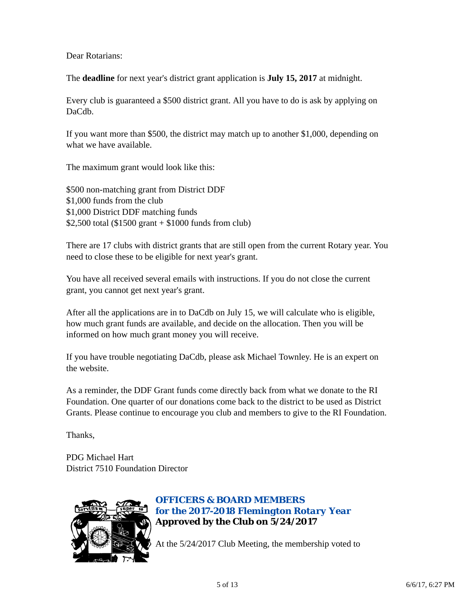#### Dear Rotarians:

The **deadline** for next year's district grant application is **July 15, 2017** at midnight.

Every club is guaranteed a \$500 district grant. All you have to do is ask by applying on DaCdb.

If you want more than \$500, the district may match up to another \$1,000, depending on what we have available.

The maximum grant would look like this:

\$500 non-matching grant from District DDF \$1,000 funds from the club \$1,000 District DDF matching funds \$2,500 total (\$1500 grant + \$1000 funds from club)

There are 17 clubs with district grants that are still open from the current Rotary year. You need to close these to be eligible for next year's grant.

You have all received several emails with instructions. If you do not close the current grant, you cannot get next year's grant.

After all the applications are in to DaCdb on July 15, we will calculate who is eligible, how much grant funds are available, and decide on the allocation. Then you will be informed on how much grant money you will receive.

If you have trouble negotiating DaCdb, please ask Michael Townley. He is an expert on the website.

As a reminder, the DDF Grant funds come directly back from what we donate to the RI Foundation. One quarter of our donations come back to the district to be used as District Grants. Please continue to encourage you club and members to give to the RI Foundation.

Thanks,

PDG Michael Hart District 7510 Foundation Director



## *OFFICERS & BOARD MEMBERS for the 2017-2018 Flemington Rotary Year* **Approved by the Club on 5/24/2017**

At the 5/24/2017 Club Meeting, the membership voted to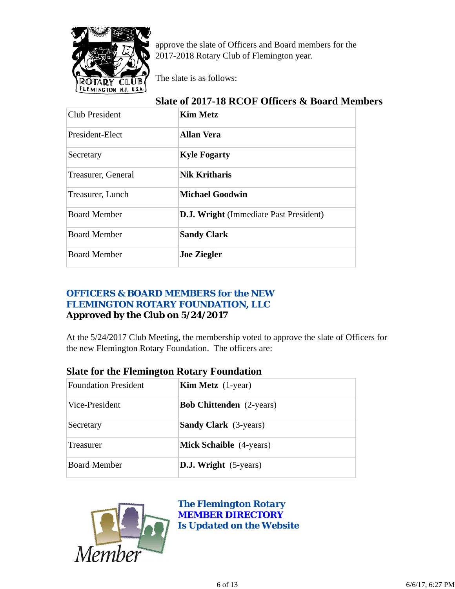

approve the slate of Officers and Board members for the 2017-2018 Rotary Club of Flemington year.

The slate is as follows:

## **Slate of 2017-18 RCOF Officers & Board Members**

| Club President      | <b>Kim Metz</b>                               |
|---------------------|-----------------------------------------------|
| President-Elect     | <b>Allan Vera</b>                             |
| Secretary           | <b>Kyle Fogarty</b>                           |
| Treasurer, General  | <b>Nik Kritharis</b>                          |
| Treasurer, Lunch    | <b>Michael Goodwin</b>                        |
| <b>Board Member</b> | <b>D.J. Wright</b> (Immediate Past President) |
| <b>Board Member</b> | <b>Sandy Clark</b>                            |
| <b>Board Member</b> | <b>Joe Ziegler</b>                            |

### *OFFICERS & BOARD MEMBERS for the NEW FLEMINGTON ROTARY FOUNDATION, LLC* **Approved by the Club on 5/24/2017**

At the 5/24/2017 Club Meeting, the membership voted to approve the slate of Officers for the new Flemington Rotary Foundation. The officers are:

## **Slate for the Flemington Rotary Foundation**

| <b>Foundation President</b> | <b>Kim Metz</b> $(1$ -year)     |
|-----------------------------|---------------------------------|
| Vice-President              | <b>Bob Chittenden</b> (2-years) |
| Secretary                   | <b>Sandy Clark</b> (3-years)    |
| Treasurer                   | <b>Mick Schaible</b> (4-years)  |
| <b>Board Member</b>         | <b>D.J. Wright</b> (5-years)    |



*The Flemington Rotary MEMBER DIRECTORY Is Updated on the Website*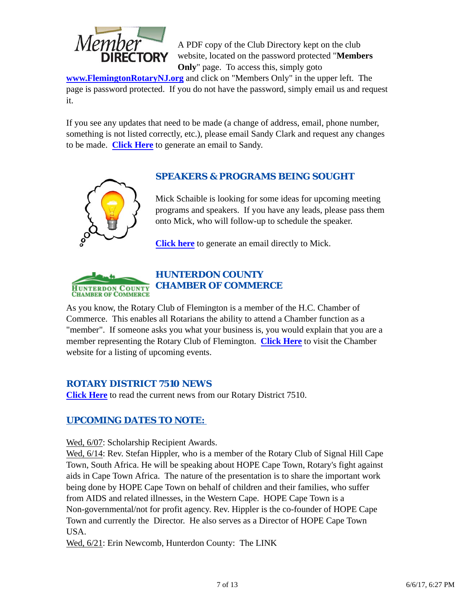

A PDF copy of the Club Directory kept on the club website, located on the password protected "**Members Only**" page. To access this, simply goto

**www.FlemingtonRotaryNJ.org** and click on "Members Only" in the upper left. The page is password protected. If you do not have the password, simply email us and request it.

If you see any updates that need to be made (a change of address, email, phone number, something is not listed correctly, etc.), please email Sandy Clark and request any changes to be made. **Click Here** to generate an email to Sandy.



## *SPEAKERS & PROGRAMS BEING SOUGHT*

Mick Schaible is looking for some ideas for upcoming meeting programs and speakers. If you have any leads, please pass them onto Mick, who will follow-up to schedule the speaker.

**Click here** to generate an email directly to Mick.



As you know, the Rotary Club of Flemington is a member of the H.C. Chamber of Commerce. This enables all Rotarians the ability to attend a Chamber function as a "member". If someone asks you what your business is, you would explain that you are a member representing the Rotary Club of Flemington. **Click Here** to visit the Chamber website for a listing of upcoming events.

### *ROTARY DISTRICT 7510 NEWS*

**Click Here** to read the current news from our Rotary District 7510.

## *UPCOMING DATES TO NOTE:*

Wed, 6/07: Scholarship Recipient Awards.

Wed,  $6/14$ : Rev. Stefan Hippler, who is a member of the Rotary Club of Signal Hill Cape Town, South Africa. He will be speaking about HOPE Cape Town, Rotary's fight against aids in Cape Town Africa. The nature of the presentation is to share the important work being done by HOPE Cape Town on behalf of children and their families, who suffer from AIDS and related illnesses, in the Western Cape. HOPE Cape Town is a Non-governmental/not for profit agency. Rev. Hippler is the co-founder of HOPE Cape Town and currently the Director. He also serves as a Director of HOPE Cape Town USA.

Wed,  $6/21$ : Erin Newcomb, Hunterdon County: The LINK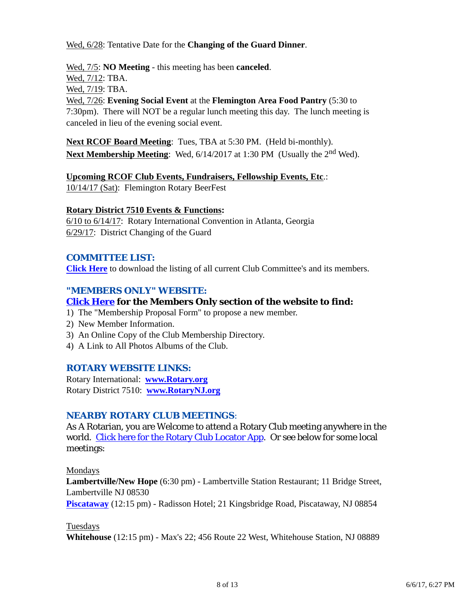#### Wed, 6/28: Tentative Date for the **Changing of the Guard Dinner**.

Wed, 7/5: **NO Meeting** - this meeting has been **canceled**.

Wed, 7/12: TBA.

Wed, 7/19: TBA.

Wed, 7/26: **Evening Social Event** at the **Flemington Area Food Pantry** (5:30 to 7:30pm). There will NOT be a regular lunch meeting this day. The lunch meeting is canceled in lieu of the evening social event.

**Next RCOF Board Meeting**: Tues, TBA at 5:30 PM. (Held bi-monthly). **Next Membership Meeting**: Wed,  $6/14/2017$  at 1:30 PM (Usually the 2<sup>nd</sup> Wed).

## **Upcoming RCOF Club Events, Fundraisers, Fellowship Events, Etc**.:

10/14/17 (Sat): Flemington Rotary BeerFest

#### **Rotary District 7510 Events & Functions:**

6/10 to 6/14/17: Rotary International Convention in Atlanta, Georgia 6/29/17: District Changing of the Guard

### *COMMITTEE LIST:*

**Click Here** to download the listing of all current Club Committee's and its members.

## *"MEMBERS ONLY" WEBSITE:*

## **Click Here for the Members Only section of the website to find:**

- 1) The "Membership Proposal Form" to propose a new member.
- 2) New Member Information.
- 3) An Online Copy of the Club Membership Directory.
- 4) A Link to All Photos Albums of the Club.

#### *ROTARY WEBSITE LINKS:*

Rotary International: **www.Rotary.org** Rotary District 7510: **www.RotaryNJ.org**

### *NEARBY ROTARY CLUB MEETINGS:*

As A Rotarian, you are Welcome to attend a Rotary Club meeting anywhere in the world. Click here for the Rotary Club Locator App. Or see below for some local meetings:

Mondays

**Lambertville/New Hope** (6:30 pm) - Lambertville Station Restaurant; 11 Bridge Street, Lambertville NJ 08530

**Piscataway** (12:15 pm) - Radisson Hotel; 21 Kingsbridge Road, Piscataway, NJ 08854

Tuesdays

**Whitehouse** (12:15 pm) - Max's 22; 456 Route 22 West, Whitehouse Station, NJ 08889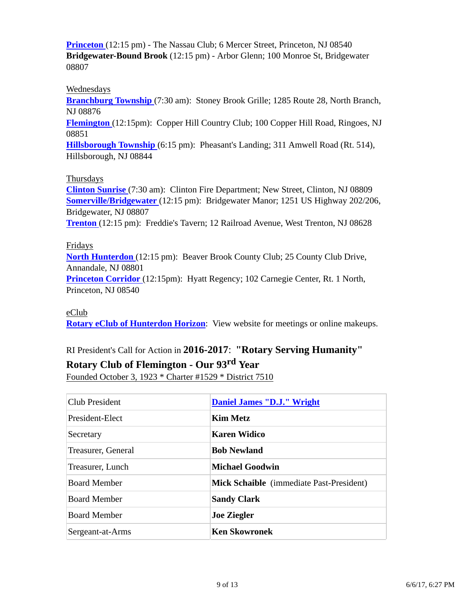**Princeton** (12:15 pm) - The Nassau Club; 6 Mercer Street, Princeton, NJ 08540 **Bridgewater-Bound Brook** (12:15 pm) - Arbor Glenn; 100 Monroe St, Bridgewater 08807

#### Wednesdays

**Branchburg Township** (7:30 am): Stoney Brook Grille; 1285 Route 28, North Branch, NJ 08876

**Flemington** (12:15pm): Copper Hill Country Club; 100 Copper Hill Road, Ringoes, NJ 08851

**Hillsborough Township** (6:15 pm): Pheasant's Landing; 311 Amwell Road (Rt. 514), Hillsborough, NJ 08844

#### Thursdays

**Clinton Sunrise** (7:30 am): Clinton Fire Department; New Street, Clinton, NJ 08809 **Somerville/Bridgewater** (12:15 pm): Bridgewater Manor; 1251 US Highway 202/206, Bridgewater, NJ 08807 **Trenton** (12:15 pm): Freddie's Tavern; 12 Railroad Avenue, West Trenton, NJ 08628

#### Fridays

**North Hunterdon** (12:15 pm): Beaver Brook County Club; 25 County Club Drive, Annandale, NJ 08801 **Princeton Corridor** (12:15pm): Hyatt Regency; 102 Carnegie Center, Rt. 1 North, Princeton, NJ 08540

#### eClub

**Rotary eClub of Hunterdon Horizon**: View website for meetings or online makeups.

## RI President's Call for Action in **2016-2017**: **"Rotary Serving Humanity"**

### **Rotary Club of Flemington - Our 93rd Year**

Founded October 3, 1923 \* Charter #1529 \* District 7510

| <b>Club President</b> | <b>Daniel James "D.J." Wright</b>               |  |
|-----------------------|-------------------------------------------------|--|
| President-Elect       | <b>Kim Metz</b>                                 |  |
| Secretary             | <b>Karen Widico</b>                             |  |
| Treasurer, General    | <b>Bob Newland</b>                              |  |
| Treasurer, Lunch      | <b>Michael Goodwin</b>                          |  |
| <b>Board Member</b>   | <b>Mick Schaible</b> (immediate Past-President) |  |
| <b>Board Member</b>   | <b>Sandy Clark</b>                              |  |
| <b>Board Member</b>   | <b>Joe Ziegler</b>                              |  |
| Sergeant-at-Arms      | <b>Ken Skowronek</b>                            |  |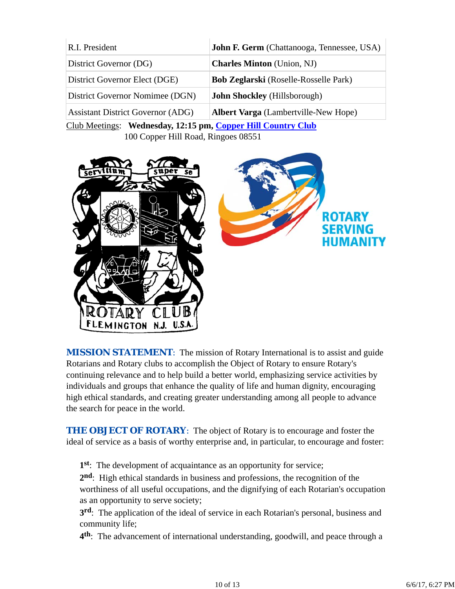| R.I. President                           | John F. Germ (Chattanooga, Tennessee, USA)   |  |
|------------------------------------------|----------------------------------------------|--|
| District Governor (DG)                   | <b>Charles Minton</b> (Union, NJ)            |  |
| District Governor Elect (DGE)            | <b>Bob Zeglarski</b> (Roselle-Rosselle Park) |  |
| District Governor Nomimee (DGN)          | <b>John Shockley</b> (Hillsborough)          |  |
| <b>Assistant District Governor (ADG)</b> | <b>Albert Varga</b> (Lambertville-New Hope)  |  |

Club Meetings: **Wednesday, 12:15 pm, Copper Hill Country Club** 100 Copper Hill Road, Ringoes 08551



*MISSION STATEMENT*: The mission of Rotary International is to assist and guide Rotarians and Rotary clubs to accomplish the Object of Rotary to ensure Rotary's continuing relevance and to help build a better world, emphasizing service activities by individuals and groups that enhance the quality of life and human dignity, encouraging high ethical standards, and creating greater understanding among all people to advance the search for peace in the world.

**THE OBJECT OF ROTARY:** The object of Rotary is to encourage and foster the ideal of service as a basis of worthy enterprise and, in particular, to encourage and foster:

**1st**: The development of acquaintance as an opportunity for service;

**2nd**: High ethical standards in business and professions, the recognition of the worthiness of all useful occupations, and the dignifying of each Rotarian's occupation as an opportunity to serve society;

**3rd**: The application of the ideal of service in each Rotarian's personal, business and community life;

**4th**: The advancement of international understanding, goodwill, and peace through a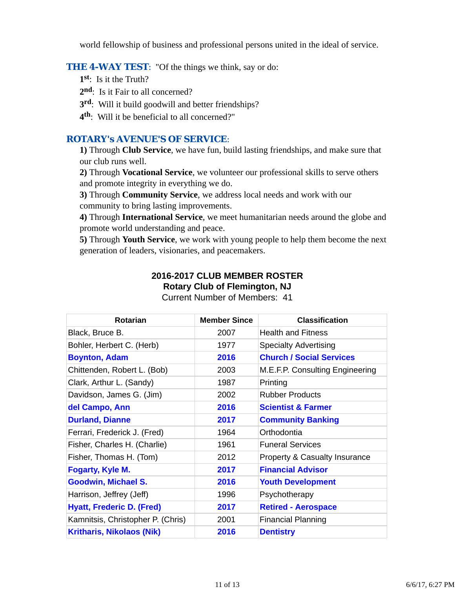world fellowship of business and professional persons united in the ideal of service.

#### **THE 4-WAY TEST:** "Of the things we think, say or do:

- **1st**: Is it the Truth?
- 2<sup>nd</sup>: Is it Fair to all concerned?
- **3rd**: Will it build goodwill and better friendships?
- **4th**: Will it be beneficial to all concerned?"

### *ROTARY's AVENUE'S OF SERVICE*:

**1)** Through **Club Service**, we have fun, build lasting friendships, and make sure that our club runs well.

**2)** Through **Vocational Service**, we volunteer our professional skills to serve others and promote integrity in everything we do.

**3)** Through **Community Service**, we address local needs and work with our community to bring lasting improvements.

**4)** Through **International Service**, we meet humanitarian needs around the globe and promote world understanding and peace.

**5)** Through **Youth Service**, we work with young people to help them become the next generation of leaders, visionaries, and peacemakers.

## **2016-2017 CLUB MEMBER ROSTER Rotary Club of Flemington, NJ**

| <b>Rotarian</b>                   | <b>Member Since</b> | <b>Classification</b>                    |
|-----------------------------------|---------------------|------------------------------------------|
| Black, Bruce B.                   | 2007                | <b>Health and Fitness</b>                |
| Bohler, Herbert C. (Herb)         | 1977                | <b>Specialty Advertising</b>             |
| <b>Boynton, Adam</b>              | 2016                | <b>Church / Social Services</b>          |
| Chittenden, Robert L. (Bob)       | 2003                | M.E.F.P. Consulting Engineering          |
| Clark, Arthur L. (Sandy)          | 1987                | Printing                                 |
| Davidson, James G. (Jim)          | 2002                | <b>Rubber Products</b>                   |
| del Campo, Ann                    | 2016                | <b>Scientist &amp; Farmer</b>            |
| <b>Durland, Dianne</b>            | 2017                | <b>Community Banking</b>                 |
| Ferrari, Frederick J. (Fred)      | 1964                | Orthodontia                              |
| Fisher, Charles H. (Charlie)      | 1961                | <b>Funeral Services</b>                  |
| Fisher, Thomas H. (Tom)           | 2012                | <b>Property &amp; Casualty Insurance</b> |
| Fogarty, Kyle M.                  | 2017                | <b>Financial Advisor</b>                 |
| <b>Goodwin, Michael S.</b>        | 2016                | <b>Youth Development</b>                 |
| Harrison, Jeffrey (Jeff)          | 1996                | Psychotherapy                            |
| <b>Hyatt, Frederic D. (Fred)</b>  | 2017                | <b>Retired - Aerospace</b>               |
| Kamnitsis, Christopher P. (Chris) | 2001                | <b>Financial Planning</b>                |
| <b>Kritharis, Nikolaos (Nik)</b>  | 2016                | <b>Dentistry</b>                         |

Current Number of Members: 41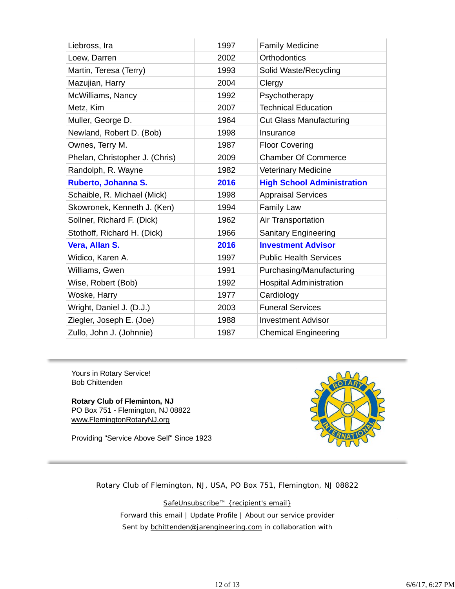| Liebross, Ira                  | 1997 | <b>Family Medicine</b>            |
|--------------------------------|------|-----------------------------------|
| Loew, Darren                   | 2002 | Orthodontics                      |
| Martin, Teresa (Terry)         | 1993 | Solid Waste/Recycling             |
| Mazujian, Harry                | 2004 | Clergy                            |
| McWilliams, Nancy              | 1992 | Psychotherapy                     |
| Metz, Kim                      | 2007 | <b>Technical Education</b>        |
| Muller, George D.              | 1964 | <b>Cut Glass Manufacturing</b>    |
| Newland, Robert D. (Bob)       | 1998 | Insurance                         |
| Ownes, Terry M.                | 1987 | <b>Floor Covering</b>             |
| Phelan, Christopher J. (Chris) | 2009 | <b>Chamber Of Commerce</b>        |
| Randolph, R. Wayne             | 1982 | <b>Veterinary Medicine</b>        |
| Ruberto, Johanna S.            | 2016 | <b>High School Administration</b> |
| Schaible, R. Michael (Mick)    | 1998 | <b>Appraisal Services</b>         |
| Skowronek, Kenneth J. (Ken)    | 1994 | <b>Family Law</b>                 |
| Sollner, Richard F. (Dick)     | 1962 | Air Transportation                |
| Stothoff, Richard H. (Dick)    | 1966 | <b>Sanitary Engineering</b>       |
| Vera, Allan S.                 | 2016 | <b>Investment Advisor</b>         |
| Widico, Karen A.               | 1997 | <b>Public Health Services</b>     |
| Williams, Gwen                 | 1991 | Purchasing/Manufacturing          |
| Wise, Robert (Bob)             | 1992 | <b>Hospital Administration</b>    |
| Woske, Harry                   | 1977 | Cardiology                        |
| Wright, Daniel J. (D.J.)       | 2003 | <b>Funeral Services</b>           |
| Ziegler, Joseph E. (Joe)       | 1988 | <b>Investment Advisor</b>         |
| Zullo, John J. (Johnnie)       | 1987 | <b>Chemical Engineering</b>       |

Yours in Rotary Service! Bob Chittenden

**Rotary Club of Fleminton, NJ** PO Box 751 - Flemington, NJ 08822 www.FlemingtonRotaryNJ.org

Providing "Service Above Self" Since 1923



Rotary Club of Flemington, NJ, USA, PO Box 751, Flemington, NJ 08822

SafeUnsubscribe™ {recipient's email} Forward this email | Update Profile | About our service provider Sent by bchittenden@jarengineering.com in collaboration with